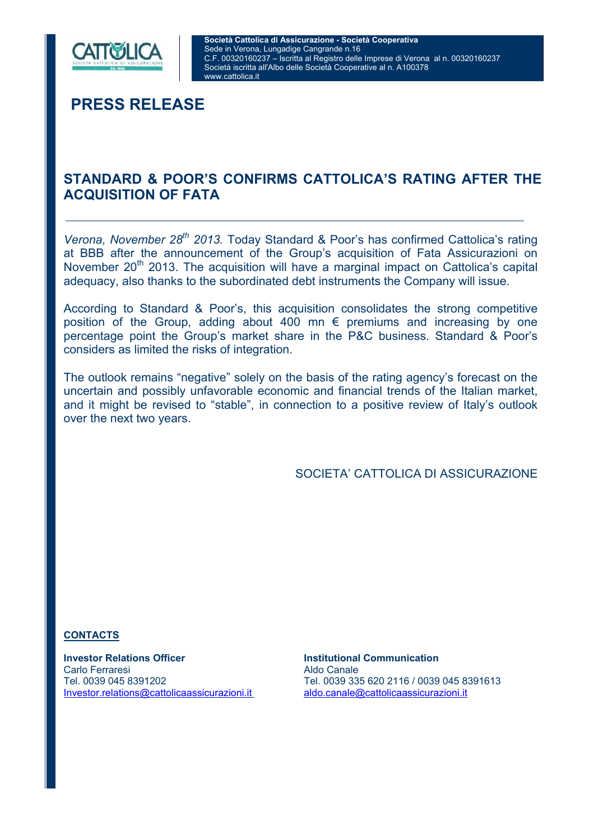

**PRESS RELEASE** 

## **STANDARD & POOR'S CONFIRMS CATTOLICA'S RATING AFTER THE ACQUISITION OF FATA**

*Verona, November 28th 2013.* Today Standard & Poor's has confirmed Cattolica's rating at BBB after the announcement of the Group's acquisition of Fata Assicurazioni on November  $20<sup>th</sup>$  2013. The acquisition will have a marginal impact on Cattolica's capital adequacy, also thanks to the subordinated debt instruments the Company will issue.

According to Standard & Poor's, this acquisition consolidates the strong competitive position of the Group, adding about 400 mn  $\epsilon$  premiums and increasing by one percentage point the Group's market share in the P&C business. Standard & Poor's considers as limited the risks of integration.

The outlook remains "negative" solely on the basis of the rating agency's forecast on the uncertain and possibly unfavorable economic and financial trends of the Italian market, and it might be revised to "stable", in connection to a positive review of Italy's outlook over the next two years.

SOCIETA' CATTOLICA DI ASSICURAZIONE

#### **CONTACTS**

**Investor Relations Officer Institutional Communication** Carlo Ferraresi **Aldo Canale** Investor.relations@cattolicaassicurazioni.it aldo.canale@cattolicaassicurazioni.it

Tel. 0039 045 8391202 Tel. 0039 335 620 2116 / 0039 045 8391613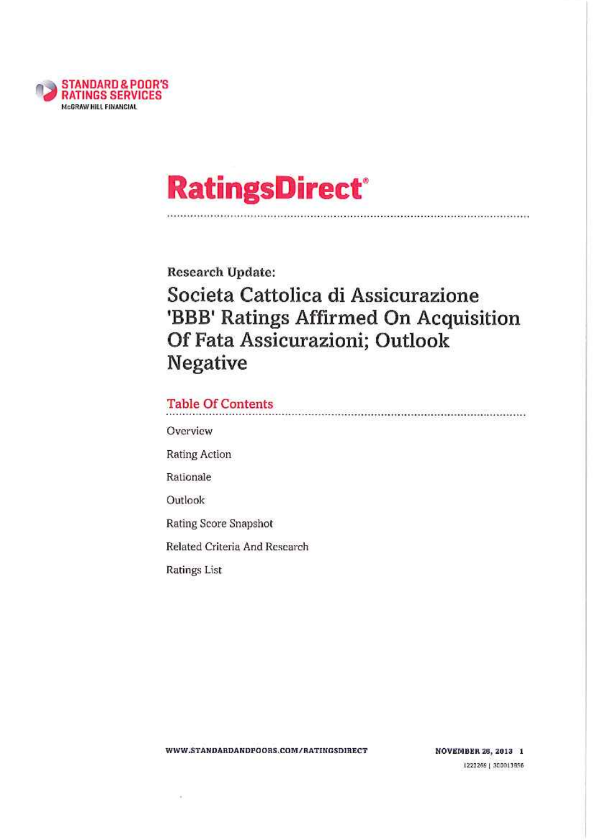

# **RatingsDirect®**

**Research Update:** Societa Cattolica di Assicurazione 'BBB' Ratings Affirmed On Acquisition Of Fata Assicurazioni; Outlook **Negative** 

### **Table Of Contents**

Overview

**Rating Action** 

Rationale

Outlook

Rating Score Snapshot

Related Criteria And Research

**Ratings List** 

ÿ,

WWW.STANDARDANDPOORS.COM/RATINGSDIRECT

**NOVEMBER 28, 2013 1** 1222269 | 300013856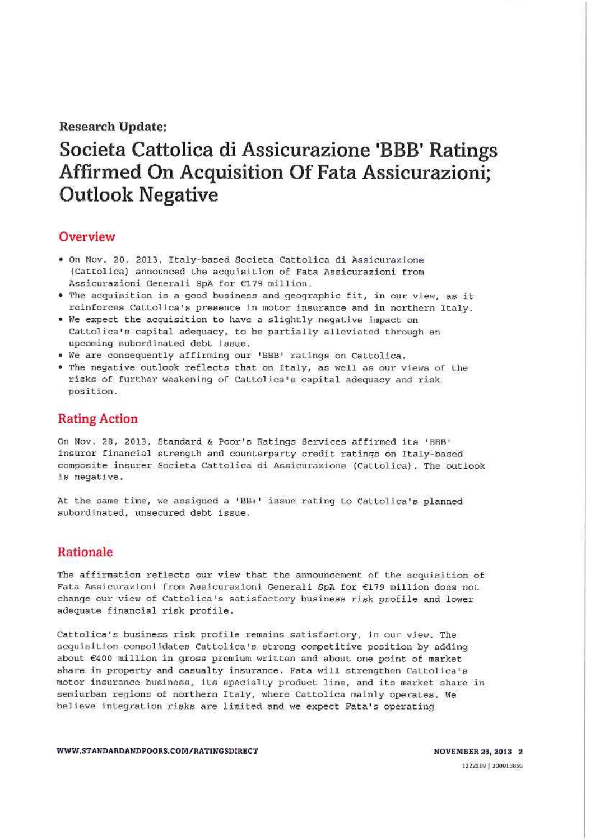#### **Research Update:**

# Societa Cattolica di Assicurazione 'BBB' Ratings Affirmed On Acquisition Of Fata Assicurazioni; **Outlook Negative**

#### Overview

- · On Nov. 20, 2013, Italy-based Societa Cattolica di Assicurazione (Cattolica) announced the acquisition of Fata Assicurazioni from Assicurazioni Generali SpA for €179 million.
- . The acquisition is a good business and geographic fit, in our view, as it reinforces Cattolica's presence in motor insurance and in northern Italy.
- . We expect the acquisition to have a slightly negative impact on Cattolica's capital adequacy, to be partially alleviated through an upcoming subordinated debt issue.
- . We are consequently affirming our 'BBB' ratings on Cattolica.
- . The negative outlook reflects that on Italy, as well as our views of the risks of further weakening of Cattolica's capital adequacy and risk position.

#### **Rating Action**

On Nov. 28, 2013, Standard & Poor's Ratings Services affirmed its 'BBB' insurer financial strength and counterparty credit ratings on Italy-based composite insurer Societa Cattolica di Assicurazione (Cattolica). The outlook is negative.

At the same time, we assigned a 'BB+' issue rating to Cattolica's planned subordinated, unsecured debt issue.

#### **Rationale**

The affirmation reflects our view that the announcement of the acquisition of Fata Assicurazioni from Assicurazioni Generali SpA for €179 million does not. change our view of Cattolica's satisfactory business risk profile and lower adequate financial risk profile.

Cattolica's business risk profile remains satisfactory, in our view. The acquisition consolidates Cattolica's strong competitive position by adding about £400 million in gross premium written and about one point of market share in property and casualty insurance. Fata will strengthen Cattolica's motor insurance business, its specialty product line, and its market share in semiurban regions of northern Italy, where Cattolica mainly operates. We believe integration risks are limited and we expect Fata's operating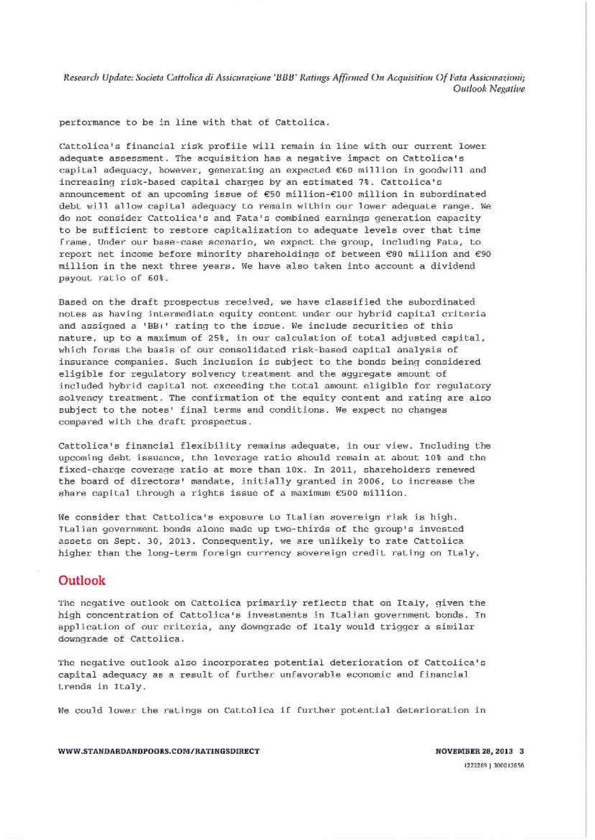Research Update: Societa Cattolica di Assicurazione 'BBB' Ratings Affirmed On Acquisition Of Fata Assicurazioni; Outlook Negative

performance to be in line with that of Cattolica.

Cattolica's financial risk profile will remain in line with our current lower adequate assessment. The acquisition has a negative impact on Cattolica's capital adequacy, however, generating an expected €60 million in goodwill and increasing risk-based capital charges by an estimated 7%. Cattolica's announcement of an upcoming issue of €50 million-€100 million in subordinated debt will allow capital adequacy to remain within our lower adequate range. We do not consider Cattolica's and Fata's combined earnings generation capacity to be sufficient to restore capitalization to adequate levels over that time frame, Under our base-case scenario, we expect the group, including Fata, to report net income before minority shareholdings of between €80 million and €90 million in the next three years. We have also taken into account a dividend payout ratio of 60%.

Based on the draft prospectus received, we have classified the subordinated notes as having intermediate equity content under our hybrid capital criteria and assigned a 'BB+' rating to the issue. We include securities of this nature, up to a maximum of 25%, in our calculation of total adjusted capital, which forms the basis of our consolidated risk-based capital analysis of insurance companies. Such inclusion is subject to the bonds being considered eligible for regulatory solvency treatment and the aggregate amount of included hybrid capital not exceeding the total amount eligible for regulatory solvency treatment. The confirmation of the equity content and rating are also subject to the notes' final terms and conditions. We expect no changes compared with the draft prospectus.

Cattolica's financial flexibility remains adequate, in our view. Including the upcoming debt issuance, the leverage ratio should remain at about 10% and the fixed-charge coverage ratio at more than 10x. In 2011, shareholders renewed the board of directors' mandate, initially granted in 2006, to increase the share capital through a rights issue of a maximum €500 million.

We consider that Cattolica's exposure to Italian sovereign risk is high. Ttalian government bonds alone made up two-thirds of the group's invested assets on Sept. 30, 2013. Consequently, we are unlikely to rate Cattolica higher than the long-term foreign currency sovereign credit rating on Italy.

#### Outlook

The negative outlook on Cattolica primarily reflects that on Italy, given the high concentration of Cattolica's investments in Italian government bonds. In application of our criteria, any downgrade of Italy would trigger a similar downgrade of Cattolica.

The negative outlook also incorporates potential deterioration of Cattolica's capital adequacy as a result of further unfavorable economic and financial trends in Italy.

We could lower the ratings on Cattolica if further potential deterioration in

WWW.STANDARDANDPOORS.COM/RATINGSDIRECT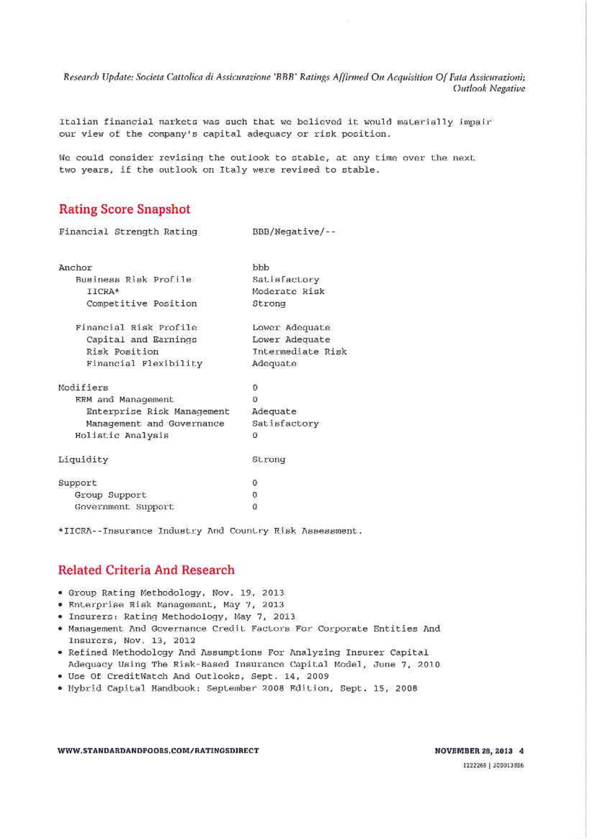Research Update: Societa Cattolica di Assicurazione 'BBB' Ratings Affirmed On Acquisition Of Fata Assicurazioni; Outlook Negative

Italian financial markets was such that we believed it would materially impair our view of the company's capital adequacy or risk position.

NO ACCORDO ANCHE CONTRA DEL CONTRA

We could consider revising the outlook to stable, at any time over the next two years, if the outlook on Italy were revised to stable.

#### **Rating Score Snapshot**

| Financial Strength Rating  | BBB/Negative/--   |
|----------------------------|-------------------|
| Anchor                     | bbb               |
| Business Risk Profile      | Satisfactory      |
| IICRA*                     | Moderate Risk     |
| Competitive Position       | Strong            |
| Financial Risk Profile     | Lower Adequate    |
| Capital and Earnings       | Lower Adequate    |
| Risk Position              | Intermediate Risk |
| Financial Flexibility      | Adequate          |
| Modifiers                  | 0                 |
| ERM and Management         | Ö                 |
| Enterprise Risk Management | Adequate          |
| Management and Governance  | Satisfactory      |
| Holistic Analysis          | 0                 |
| Liquidity                  | Strong            |
| Support                    | 0                 |
| Group Support              | $\overline{0}$    |
| Government Support         | Û                 |

\*IICRA--Insurance Industry And Country Risk Assessment.

#### **Related Criteria And Research**

- . Group Rating Methodology, Nov. 19, 2013
- . Enterprise Risk Management, May 7, 2013
- . Insurers: Rating Methodology, May 7, 2013
- . Management And Governance Credit Factors For Corporate Entities And Insurers, Nov. 13, 2012
- . Refined Methodology And Assumptions For Analyzing Insurer Capital Adequacy Using The Risk-Based Insurance Capital Model, June 7, 2010
- . Use Of CreditWatch And Outlooks, Sept. 14, 2009
- . Hybrid Capital Handbook: September 2008 Edition, Sept. 15, 2008

WWW.STANDARDANDPOORS.COM/RATINGSDIRECT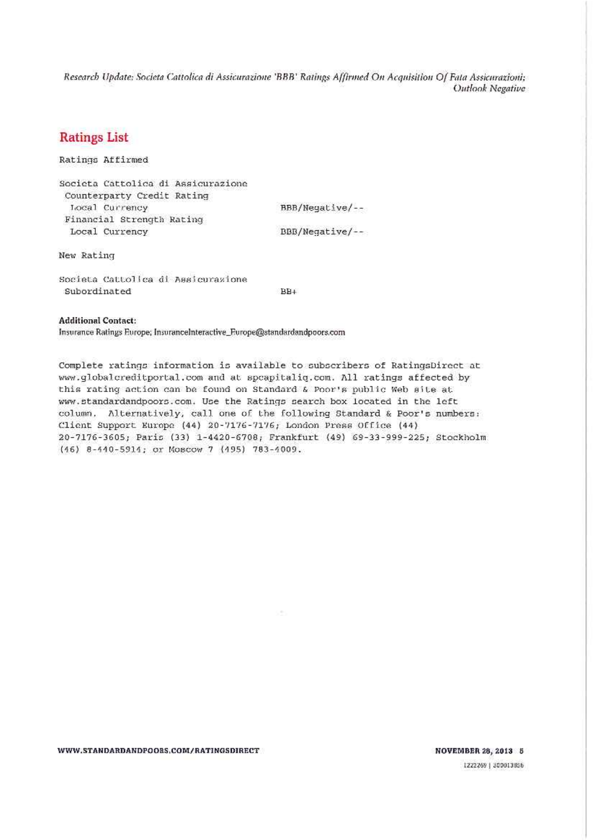Research Update: Societa Cattolica di Assicurazione 'BBB' Ratings Affirmed On Acquisition Of Fata Assicurazioni; Outlook Negative

#### **Ratings List**

Ratings Affirmed

Societa Cattolica di Assicurazione Counterparty Credit Rating Local Currency Financial Strength Rating Local Currency

BBB/Negative/--BBB/Negative/--

New Rating

Societa Cattolica di Assicurazione Subordinated

 $BB+$ 

#### **Additional Contact:**

Insurance Ratings Europe; InsuranceInteractive\_Europe@standardandpoors.com

Complete ratings information is available to subscribers of RatingsDirect at www.globalcreditportal.com and at spcapitaliq.com. All ratings affected by this rating action can be found on Standard & Poor's public Web site at www.standardandpoors.com. Use the Ratings search box located in the left column, Alternatively, call one of the following Standard & Poor's numbers: Client Support Europe (44) 20-7176-7176; London Press Office (44) 20-7176-3605; Paris (33) 1-4420-6708; Frankfurt (49) 69-33-999-225; Stockholm (46) 8-440-5914; or Moscow 7 (495) 783-4009.